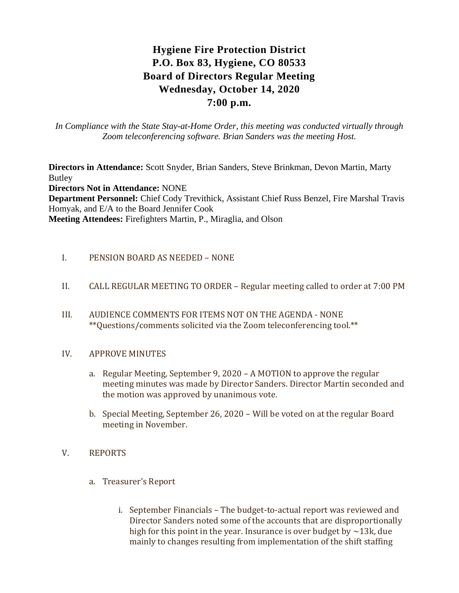# **Hygiene Fire Protection District P.O. Box 83, Hygiene, CO 80533 Board of Directors Regular Meeting Wednesday, October 14, 2020 7:00 p.m.**

*In Compliance with the State Stay-at-Home Order, this meeting was conducted virtually through Zoom teleconferencing software. Brian Sanders was the meeting Host.*

**Directors in Attendance:** Scott Snyder, Brian Sanders, Steve Brinkman, Devon Martin, Marty Butley **Directors Not in Attendance:** NONE **Department Personnel:** Chief Cody Trevithick, Assistant Chief Russ Benzel, Fire Marshal Travis Homyak, and E/A to the Board Jennifer Cook **Meeting Attendees:** Firefighters Martin, P., Miraglia, and Olson

# I. PENSION BOARD AS NEEDED – NONE

- II. CALL REGULAR MEETING TO ORDER Regular meeting called to order at 7:00 PM
- III. AUDIENCE COMMENTS FOR ITEMS NOT ON THE AGENDA NONE \*\*Questions/comments solicited via the Zoom teleconferencing tool.\*\*

#### IV. APPROVE MINUTES

- a. Regular Meeting, September 9, 2020 A MOTION to approve the regular meeting minutes was made by Director Sanders. Director Martin seconded and the motion was approved by unanimous vote.
- b. Special Meeting, September 26, 2020 Will be voted on at the regular Board meeting in November.

# V. REPORTS

- a. Treasurer's Report
	- i. September Financials The budget-to-actual report was reviewed and Director Sanders noted some of the accounts that are disproportionally high for this point in the year. Insurance is over budget by  $\sim$ 13k, due mainly to changes resulting from implementation of the shift staffing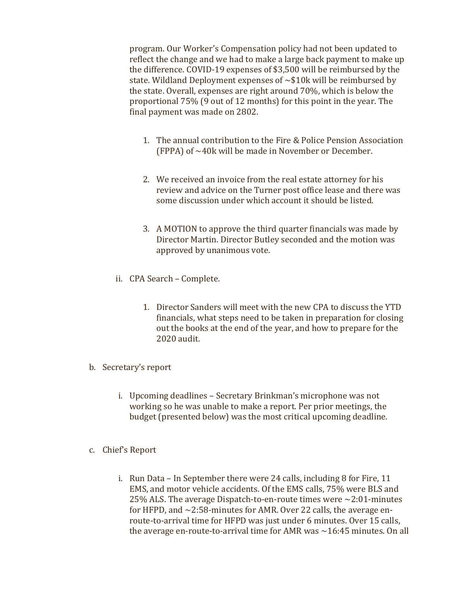program. Our Worker's Compensation policy had not been updated to reflect the change and we had to make a large back payment to make up the difference. COVID-19 expenses of \$3,500 will be reimbursed by the state. Wildland Deployment expenses of ~\$10k will be reimbursed by the state. Overall, expenses are right around 70%, which is below the proportional 75% (9 out of 12 months) for this point in the year. The final payment was made on 2802.

- 1. The annual contribution to the Fire & Police Pension Association (FPPA) of ~40k will be made in November or December.
- 2. We received an invoice from the real estate attorney for his review and advice on the Turner post office lease and there was some discussion under which account it should be listed.
- 3. A MOTION to approve the third quarter financials was made by Director Martin. Director Butley seconded and the motion was approved by unanimous vote.
- ii. CPA Search Complete.
	- 1. Director Sanders will meet with the new CPA to discuss the YTD financials, what steps need to be taken in preparation for closing out the books at the end of the year, and how to prepare for the 2020 audit.
- b. Secretary's report
	- i. Upcoming deadlines Secretary Brinkman's microphone was not working so he was unable to make a report. Per prior meetings, the budget (presented below) was the most critical upcoming deadline.
- c. Chief's Report
	- i. Run Data In September there were 24 calls, including 8 for Fire, 11 EMS, and motor vehicle accidents. Of the EMS calls, 75% were BLS and 25% ALS. The average Dispatch-to-en-route times were  $\sim$ 2:01-minutes for HFPD, and  $\sim$ 2:58-minutes for AMR. Over 22 calls, the average enroute-to-arrival time for HFPD was just under 6 minutes. Over 15 calls, the average en-route-to-arrival time for AMR was  $\sim$  16:45 minutes. On all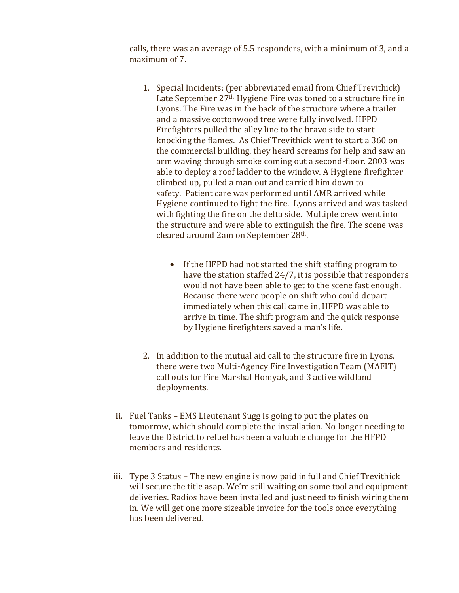calls, there was an average of 5.5 responders, with a minimum of 3, and a maximum of 7.

- 1. Special Incidents: (per abbreviated email from Chief Trevithick) Late September 27<sup>th</sup> Hygiene Fire was toned to a structure fire in Lyons. The Fire was in the back of the structure where a trailer and a massive cottonwood tree were fully involved. HFPD Firefighters pulled the alley line to the bravo side to start knocking the flames. As Chief Trevithick went to start a 360 on the commercial building, they heard screams for help and saw an arm waving through smoke coming out a second-floor. 2803 was able to deploy a roof ladder to the window. A Hygiene firefighter climbed up, pulled a man out and carried him down to safety. Patient care was performed until AMR arrived while Hygiene continued to fight the fire. Lyons arrived and was tasked with fighting the fire on the delta side. Multiple crew went into the structure and were able to extinguish the fire. The scene was cleared around 2am on September 28th.
	- If the HFPD had not started the shift staffing program to have the station staffed 24/7, it is possible that responders would not have been able to get to the scene fast enough. Because there were people on shift who could depart immediately when this call came in, HFPD was able to arrive in time. The shift program and the quick response by Hygiene firefighters saved a man's life.
- 2. In addition to the mutual aid call to the structure fire in Lyons, there were two Multi-Agency Fire Investigation Team (MAFIT) call outs for Fire Marshal Homyak, and 3 active wildland deployments.
- ii. Fuel Tanks EMS Lieutenant Sugg is going to put the plates on tomorrow, which should complete the installation. No longer needing to leave the District to refuel has been a valuable change for the HFPD members and residents.
- iii. Type 3 Status The new engine is now paid in full and Chief Trevithick will secure the title asap. We're still waiting on some tool and equipment deliveries. Radios have been installed and just need to finish wiring them in. We will get one more sizeable invoice for the tools once everything has been delivered.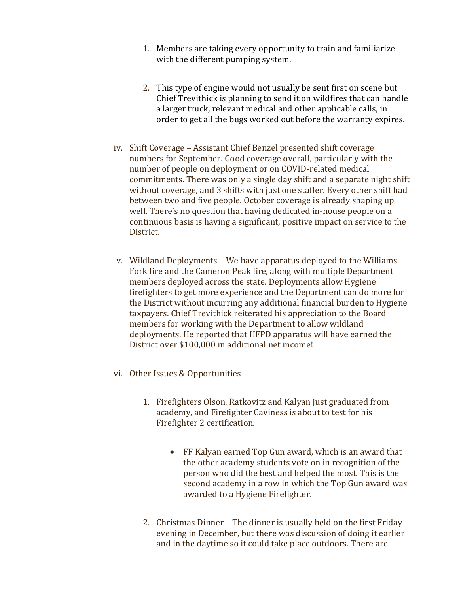- 1. Members are taking every opportunity to train and familiarize with the different pumping system.
- 2. This type of engine would not usually be sent first on scene but Chief Trevithick is planning to send it on wildfires that can handle a larger truck, relevant medical and other applicable calls, in order to get all the bugs worked out before the warranty expires.
- iv. Shift Coverage Assistant Chief Benzel presented shift coverage numbers for September. Good coverage overall, particularly with the number of people on deployment or on COVID-related medical commitments. There was only a single day shift and a separate night shift without coverage, and 3 shifts with just one staffer. Every other shift had between two and five people. October coverage is already shaping up well. There's no question that having dedicated in-house people on a continuous basis is having a significant, positive impact on service to the District.
- v. Wildland Deployments We have apparatus deployed to the Williams Fork fire and the Cameron Peak fire, along with multiple Department members deployed across the state. Deployments allow Hygiene firefighters to get more experience and the Department can do more for the District without incurring any additional financial burden to Hygiene taxpayers. Chief Trevithick reiterated his appreciation to the Board members for working with the Department to allow wildland deployments. He reported that HFPD apparatus will have earned the District over \$100,000 in additional net income!
- vi. Other Issues & Opportunities
	- 1. Firefighters Olson, Ratkovitz and Kalyan just graduated from academy, and Firefighter Caviness is about to test for his Firefighter 2 certification.
		- FF Kalyan earned Top Gun award, which is an award that the other academy students vote on in recognition of the person who did the best and helped the most. This is the second academy in a row in which the Top Gun award was awarded to a Hygiene Firefighter.
	- 2. Christmas Dinner The dinner is usually held on the first Friday evening in December, but there was discussion of doing it earlier and in the daytime so it could take place outdoors. There are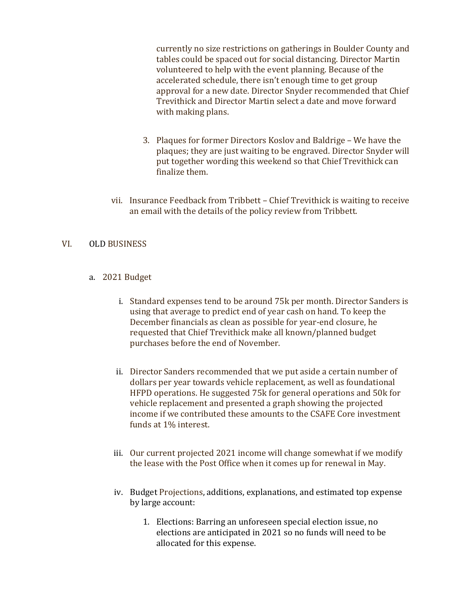currently no size restrictions on gatherings in Boulder County and tables could be spaced out for social distancing. Director Martin volunteered to help with the event planning. Because of the accelerated schedule, there isn't enough time to get group approval for a new date. Director Snyder recommended that Chief Trevithick and Director Martin select a date and move forward with making plans.

- 3. Plaques for former Directors Koslov and Baldrige We have the plaques; they are just waiting to be engraved. Director Snyder will put together wording this weekend so that Chief Trevithick can finalize them.
- vii. Insurance Feedback from Tribbett Chief Trevithick is waiting to receive an email with the details of the policy review from Tribbett.

## VI. OLD BUSINESS

## a. 2021 Budget

- i. Standard expenses tend to be around 75k per month. Director Sanders is using that average to predict end of year cash on hand. To keep the December financials as clean as possible for year-end closure, he requested that Chief Trevithick make all known/planned budget purchases before the end of November.
- ii. Director Sanders recommended that we put aside a certain number of dollars per year towards vehicle replacement, as well as foundational HFPD operations. He suggested 75k for general operations and 50k for vehicle replacement and presented a graph showing the projected income if we contributed these amounts to the CSAFE Core investment funds at 1% interest.
- iii. Our current projected 2021 income will change somewhat if we modify the lease with the Post Office when it comes up for renewal in May.
- iv. Budget Projections, additions, explanations, and estimated top expense by large account:
	- 1. Elections: Barring an unforeseen special election issue, no elections are anticipated in 2021 so no funds will need to be allocated for this expense.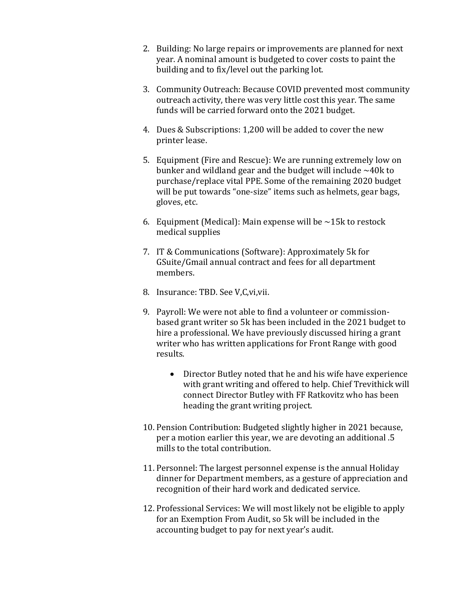- 2. Building: No large repairs or improvements are planned for next year. A nominal amount is budgeted to cover costs to paint the building and to fix/level out the parking lot.
- 3. Community Outreach: Because COVID prevented most community outreach activity, there was very little cost this year. The same funds will be carried forward onto the 2021 budget.
- 4. Dues & Subscriptions: 1,200 will be added to cover the new printer lease.
- 5. Equipment (Fire and Rescue): We are running extremely low on bunker and wildland gear and the budget will include  $\sim$ 40k to purchase/replace vital PPE. Some of the remaining 2020 budget will be put towards "one-size" items such as helmets, gear bags, gloves, etc.
- 6. Equipment (Medical): Main expense will be  $\sim$ 15k to restock medical supplies
- 7. IT & Communications (Software): Approximately 5k for GSuite/Gmail annual contract and fees for all department members.
- 8. Insurance: TBD. See V,C,vi,vii.
- 9. Payroll: We were not able to find a volunteer or commissionbased grant writer so 5k has been included in the 2021 budget to hire a professional. We have previously discussed hiring a grant writer who has written applications for Front Range with good results.
	- Director Butley noted that he and his wife have experience with grant writing and offered to help. Chief Trevithick will connect Director Butley with FF Ratkovitz who has been heading the grant writing project.
- 10. Pension Contribution: Budgeted slightly higher in 2021 because, per a motion earlier this year, we are devoting an additional .5 mills to the total contribution.
- 11. Personnel: The largest personnel expense is the annual Holiday dinner for Department members, as a gesture of appreciation and recognition of their hard work and dedicated service.
- 12. Professional Services: We will most likely not be eligible to apply for an Exemption From Audit, so 5k will be included in the accounting budget to pay for next year's audit.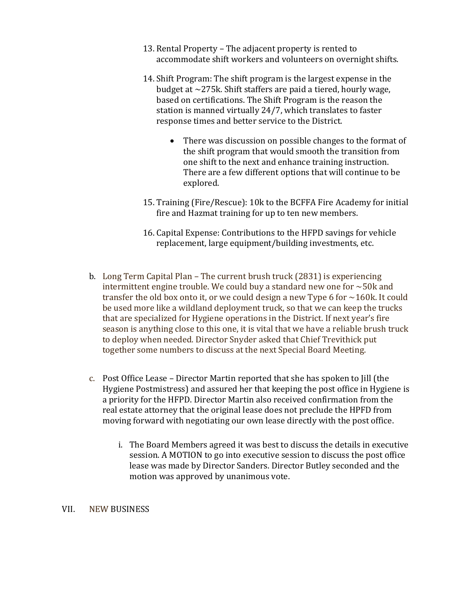- 13. Rental Property The adjacent property is rented to accommodate shift workers and volunteers on overnight shifts.
- 14. Shift Program: The shift program is the largest expense in the budget at ~275k. Shift staffers are paid a tiered, hourly wage, based on certifications. The Shift Program is the reason the station is manned virtually 24/7, which translates to faster response times and better service to the District.
	- There was discussion on possible changes to the format of the shift program that would smooth the transition from one shift to the next and enhance training instruction. There are a few different options that will continue to be explored.
- 15. Training (Fire/Rescue): 10k to the BCFFA Fire Academy for initial fire and Hazmat training for up to ten new members.
- 16. Capital Expense: Contributions to the HFPD savings for vehicle replacement, large equipment/building investments, etc.
- b. Long Term Capital Plan The current brush truck (2831) is experiencing intermittent engine trouble. We could buy a standard new one for  $\sim$  50k and transfer the old box onto it, or we could design a new Type 6 for  $\sim$ 160k. It could be used more like a wildland deployment truck, so that we can keep the trucks that are specialized for Hygiene operations in the District. If next year's fire season is anything close to this one, it is vital that we have a reliable brush truck to deploy when needed. Director Snyder asked that Chief Trevithick put together some numbers to discuss at the next Special Board Meeting.
- c. Post Office Lease Director Martin reported that she has spoken to Jill (the Hygiene Postmistress) and assured her that keeping the post office in Hygiene is a priority for the HFPD. Director Martin also received confirmation from the real estate attorney that the original lease does not preclude the HPFD from moving forward with negotiating our own lease directly with the post office.
	- i. The Board Members agreed it was best to discuss the details in executive session. A MOTION to go into executive session to discuss the post office lease was made by Director Sanders. Director Butley seconded and the motion was approved by unanimous vote.

#### VII. NEW BUSINESS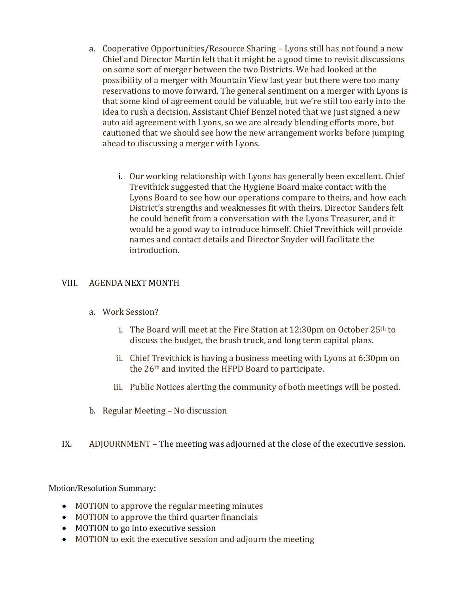- a. Cooperative Opportunities/Resource Sharing Lyons still has not found a new Chief and Director Martin felt that it might be a good time to revisit discussions on some sort of merger between the two Districts. We had looked at the possibility of a merger with Mountain View last year but there were too many reservations to move forward. The general sentiment on a merger with Lyons is that some kind of agreement could be valuable, but we're still too early into the idea to rush a decision. Assistant Chief Benzel noted that we just signed a new auto aid agreement with Lyons, so we are already blending efforts more, but cautioned that we should see how the new arrangement works before jumping ahead to discussing a merger with Lyons.
	- i. Our working relationship with Lyons has generally been excellent. Chief Trevithick suggested that the Hygiene Board make contact with the Lyons Board to see how our operations compare to theirs, and how each District's strengths and weaknesses fit with theirs. Director Sanders felt he could benefit from a conversation with the Lyons Treasurer, and it would be a good way to introduce himself. Chief Trevithick will provide names and contact details and Director Snyder will facilitate the introduction.

# VIII. AGENDA NEXT MONTH

- a. Work Session?
	- i. The Board will meet at the Fire Station at  $12:30$ pm on October  $25<sup>th</sup>$  to discuss the budget, the brush truck, and long term capital plans.
	- ii. Chief Trevithick is having a business meeting with Lyons at 6:30pm on the 26th and invited the HFPD Board to participate.
	- iii. Public Notices alerting the community of both meetings will be posted.
- b. Regular Meeting No discussion
- IX. ADJOURNMENT The meeting was adjourned at the close of the executive session.

Motion/Resolution Summary:

- MOTION to approve the regular meeting minutes
- MOTION to approve the third quarter financials
- MOTION to go into executive session
- MOTION to exit the executive session and adjourn the meeting